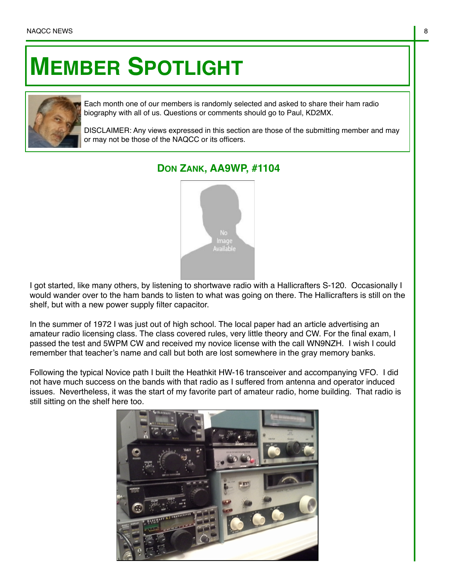## **MEMBER SPOTLIGHT**



Each month one of our members is randomly selected and asked to share their ham radio biography with all of us. Questions or comments should go to Paul, KD2MX.

DISCLAIMER: Any views expressed in this section are those of the submitting member and may or may not be those of the NAQCC or its officers.

## **DON ZANK, AA9WP, #1104**



I got started, like many others, by listening to shortwave radio with a Hallicrafters S-120. Occasionally I would wander over to the ham bands to listen to what was going on there. The Hallicrafters is still on the shelf, but with a new power supply filter capacitor.

In the summer of 1972 I was just out of high school. The local paper had an article advertising an amateur radio licensing class. The class covered rules, very little theory and CW. For the final exam, I passed the test and 5WPM CW and received my novice license with the call WN9NZH. I wish I could remember that teacher's name and call but both are lost somewhere in the gray memory banks.

Following the typical Novice path I built the Heathkit HW-16 transceiver and accompanying VFO. I did not have much success on the bands with that radio as I suffered from antenna and operator induced issues. Nevertheless, it was the start of my favorite part of amateur radio, home building. That radio is still sitting on the shelf here too.